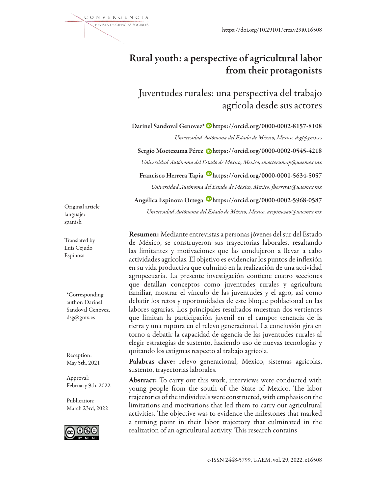

## Rural youth: a perspective of agricultural labor from their protagonists

Juventudes rurales: una perspectiva del trabajo agrícola desde sus actores

Darinel Sandoval Genovez\* Dhttps://orcid.org/0000-0002-8157-8108 *Universidad Autónoma del Estado de México, Mexico, dsg@gmx.es*

Sergio Moctezuma Pérez Dhttps://orcid.org/0000-0002-0545-4218 *Universidad Autónoma del Estado de México, Mexico, smoctezumap@uaemex.mx*

Francisco Herrera Tapia Dhttps://orcid.org/0000-0001-5634-5057

*Universidad Autónoma del Estado de México, Mexico, fherrerat@uaemex.mx*

Angélica Espinoza Ortega Dhttps://orcid.org/0000-0002-5968-0587

*Universidad Autónoma del Estado de México, Mexico, aespinozao@uaemex.mx*

Original article languaje: spanish

Translated by Luis Cejudo Espinosa

\*Corresponding author: Darinel Sandoval Genovez, dsg@gmx.es

Reception: May 5th, 2021

Approval: February 9th, 2022

Publication: March 23rd, 2022



Resumen: Mediante entrevistas a personas jóvenes del sur del Estado de México, se construyeron sus trayectorias laborales, resaltando las limitantes y motivaciones que las condujeron a llevar a cabo actividades agrícolas. El objetivo es evidenciar los puntos de inflexión en su vida productiva que culminó en la realización de una actividad agropecuaria. La presente investigación contiene cuatro secciones que detallan conceptos como juventudes rurales y agricultura familiar, mostrar el vínculo de las juventudes y el agro, así como debatir los retos y oportunidades de este bloque poblacional en las labores agrarias. Los principales resultados muestran dos vertientes que limitan la participación juvenil en el campo: tenencia de la tierra y una ruptura en el relevo generacional. La conclusión gira en torno a debatir la capacidad de agencia de las juventudes rurales al elegir estrategias de sustento, haciendo uso de nuevas tecnologías y quitando los estigmas respecto al trabajo agrícola.

Palabras clave: relevo generacional, México, sistemas agrícolas, sustento, trayectorias laborales.

Abstract: To carry out this work, interviews were conducted with young people from the south of the State of Mexico. The labor trajectories of the individuals were constructed, with emphasis on the limitations and motivations that led them to carry out agricultural activities. The objective was to evidence the milestones that marked a turning point in their labor trajectory that culminated in the realization of an agricultural activity. This research contains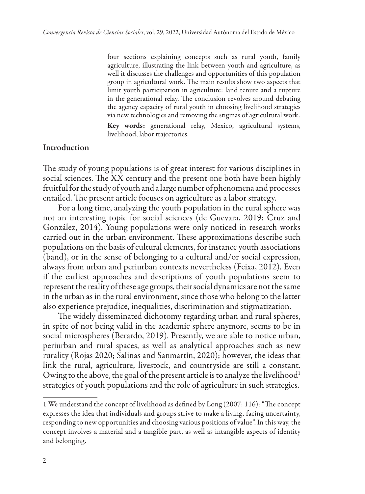four sections explaining concepts such as rural youth, family agriculture, illustrating the link between youth and agriculture, as well it discusses the challenges and opportunities of this population group in agricultural work. The main results show two aspects that limit youth participation in agriculture: land tenure and a rupture in the generational relay. The conclusion revolves around debating the agency capacity of rural youth in choosing livelihood strategies via new technologies and removing the stigmas of agricultural work. Key words: generational relay, Mexico, agricultural systems, livelihood, labor trajectories.

#### Introduction

The study of young populations is of great interest for various disciplines in social sciences. The XX century and the present one both have been highly fruitful for the study of youth and a large number of phenomena and processes entailed. The present article focuses on agriculture as a labor strategy.

For a long time, analyzing the youth population in the rural sphere was not an interesting topic for social sciences (de Guevara, 2019; Cruz and González, 2014). Young populations were only noticed in research works carried out in the urban environment. These approximations describe such populations on the basis of cultural elements, for instance youth associations (band), or in the sense of belonging to a cultural and/or social expression, always from urban and periurban contexts nevertheless (Feixa, 2012). Even if the earliest approaches and descriptions of youth populations seem to represent the reality of these age groups, their social dynamics are not the same in the urban as in the rural environment, since those who belong to the latter also experience prejudice, inequalities, discrimination and stigmatization.

The widely disseminated dichotomy regarding urban and rural spheres, in spite of not being valid in the academic sphere anymore, seems to be in social microspheres (Berardo, 2019). Presently, we are able to notice urban, periurban and rural spaces, as well as analytical approaches such as new rurality (Rojas 2020; Salinas and Sanmartín, 2020); however, the ideas that link the rural, agriculture, livestock, and countryside are still a constant. Owing to the above, the goal of the present article is to analyze the livelihood<sup>1</sup> strategies of youth populations and the role of agriculture in such strategies.

<sup>1</sup> We understand the concept of livelihood as defined by Long (2007: 116): "The concept expresses the idea that individuals and groups strive to make a living, facing uncertainty, responding to new opportunities and choosing various positions of value". In this way, the concept involves a material and a tangible part, as well as intangible aspects of identity and belonging.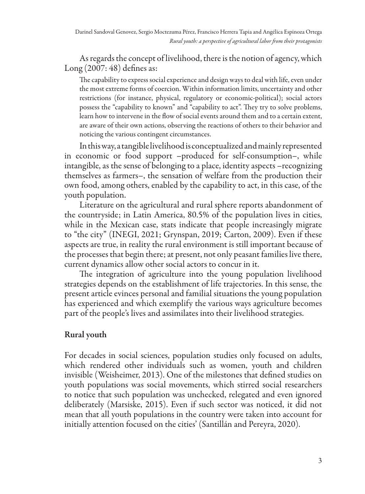As regards the concept of livelihood, there is the notion of agency, which Long (2007: 48) defines as:

The capability to express social experience and design ways to deal with life, even under the most extreme forms of coercion. Within information limits, uncertainty and other restrictions (for instance, physical, regulatory or economic-political); social actors possess the "capability to known" and "capability to act". They try to solve problems, learn how to intervene in the flow of social events around them and to a certain extent, are aware of their own actions, observing the reactions of others to their behavior and noticing the various contingent circumstances.

In this way, a tangible livelihood is conceptualized and mainly represented in economic or food support –produced for self-consumption–, while intangible, as the sense of belonging to a place, identity aspects –recognizing themselves as farmers–, the sensation of welfare from the production their own food, among others, enabled by the capability to act, in this case, of the youth population.

Literature on the agricultural and rural sphere reports abandonment of the countryside; in Latin America, 80.5% of the population lives in cities, while in the Mexican case, stats indicate that people increasingly migrate to "the city" (INEGI, 2021; Grynspan, 2019; Carton, 2009). Even if these aspects are true, in reality the rural environment is still important because of the processes that begin there; at present, not only peasant families live there, current dynamics allow other social actors to concur in it.

The integration of agriculture into the young population livelihood strategies depends on the establishment of life trajectories. In this sense, the present article evinces personal and familial situations the young population has experienced and which exemplify the various ways agriculture becomes part of the people's lives and assimilates into their livelihood strategies.

## Rural youth

For decades in social sciences, population studies only focused on adults, which rendered other individuals such as women, youth and children invisible (Weisheimer, 2013). One of the milestones that defined studies on youth populations was social movements, which stirred social researchers to notice that such population was unchecked, relegated and even ignored deliberately (Marsiske, 2015). Even if such sector was noticed, it did not mean that all youth populations in the country were taken into account for initially attention focused on the cities' (Santillán and Pereyra, 2020).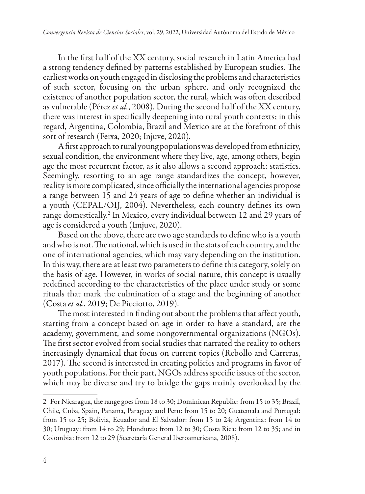In the first half of the XX century, social research in Latin America had a strong tendency defined by patterns established by European studies. The earliest works on youth engaged in disclosing the problems and characteristics of such sector, focusing on the urban sphere, and only recognized the existence of another population sector, the rural, which was often described as vulnerable (Pérez *et al.*, 2008). During the second half of the XX century, there was interest in specifically deepening into rural youth contexts; in this regard, Argentina, Colombia, Brazil and Mexico are at the forefront of this sort of research (Feixa, 2020; Injuve, 2020).

A first approach to rural young populations was developed from ethnicity, sexual condition, the environment where they live, age, among others, begin age the most recurrent factor, as it also allows a second approach: statistics. Seemingly, resorting to an age range standardizes the concept, however, reality is more complicated, since officially the international agencies propose a range between 15 and 24 years of age to define whether an individual is a youth (CEPAL/OIJ, 2004). Nevertheless, each country defines its own range domestically.2 In Mexico, every individual between 12 and 29 years of age is considered a youth (Imjuve, 2020).

Based on the above, there are two age standards to define who is a youth and who is not. The national, which is used in the stats of each country, and the one of international agencies, which may vary depending on the institution. In this way, there are at least two parameters to define this category, solely on the basis of age. However, in works of social nature, this concept is usually redefined according to the characteristics of the place under study or some rituals that mark the culmination of a stage and the beginning of another (Costa *et al*., 2019; De Picciotto, 2019).

The most interested in finding out about the problems that affect youth, starting from a concept based on age in order to have a standard, are the academy, government, and some nongovernmental organizations (NGOs). The first sector evolved from social studies that narrated the reality to others increasingly dynamical that focus on current topics (Rebollo and Carreras, 2017). The second is interested in creating policies and programs in favor of youth populations. For their part, NGOs address specific issues of the sector, which may be diverse and try to bridge the gaps mainly overlooked by the

<sup>2</sup> For Nicaragua, the range goes from 18 to 30; Dominican Republic: from 15 to 35; Brazil, Chile, Cuba, Spain, Panama, Paraguay and Peru: from 15 to 20; Guatemala and Portugal: from 15 to 25; Bolivia, Ecuador and El Salvador: from 15 to 24; Argentina: from 14 to 30; Uruguay: from 14 to 29; Honduras: from 12 to 30; Costa Rica: from 12 to 35; and in Colombia: from 12 to 29 (Secretaría General Iberoamericana, 2008).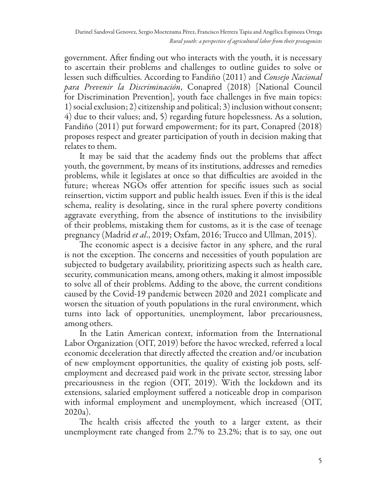government. After finding out who interacts with the youth, it is necessary to ascertain their problems and challenges to outline guides to solve or lessen such difficulties. According to Fandiño (2011) and *Consejo Nacional para Prevenir la Discriminación*, Conapred (2018) [National Council for Discrimination Prevention], youth face challenges in five main topics: 1) social exclusion; 2) citizenship and political; 3) inclusion without consent; 4) due to their values; and, 5) regarding future hopelessness. As a solution, Fandiño (2011) put forward empowerment; for its part, Conapred (2018) proposes respect and greater participation of youth in decision making that relates to them.

It may be said that the academy finds out the problems that affect youth, the government, by means of its institutions, addresses and remedies problems, while it legislates at once so that difficulties are avoided in the future; whereas NGOs offer attention for specific issues such as social reinsertion, victim support and public health issues. Even if this is the ideal schema, reality is desolating, since in the rural sphere poverty conditions aggravate everything, from the absence of institutions to the invisibility of their problems, mistaking them for customs, as it is the case of teenage pregnancy (Madrid *et al*., 2019; Oxfam, 2016; Trucco and Ullman, 2015).

The economic aspect is a decisive factor in any sphere, and the rural is not the exception. The concerns and necessities of youth population are subjected to budgetary availability, prioritizing aspects such as health care, security, communication means, among others, making it almost impossible to solve all of their problems. Adding to the above, the current conditions caused by the Covid-19 pandemic between 2020 and 2021 complicate and worsen the situation of youth populations in the rural environment, which turns into lack of opportunities, unemployment, labor precariousness, among others.

In the Latin American context, information from the International Labor Organization (OIT, 2019) before the havoc wrecked, referred a local economic deceleration that directly affected the creation and/or incubation of new employment opportunities, the quality of existing job posts, selfemployment and decreased paid work in the private sector, stressing labor precariousness in the region (OIT, 2019). With the lockdown and its extensions, salaried employment suffered a noticeable drop in comparison with informal employment and unemployment, which increased (OIT, 2020a).

The health crisis affected the youth to a larger extent, as their unemployment rate changed from 2.7% to 23.2%; that is to say, one out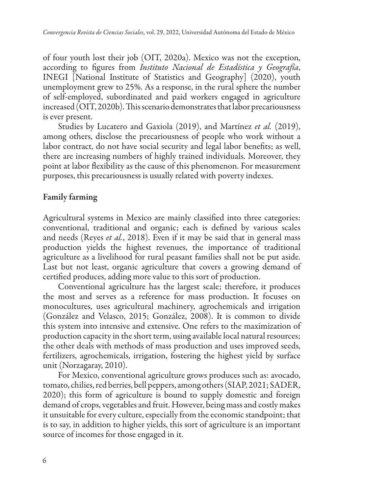of four youth lost their job (OIT, 2020a). Mexico was not the exception, according to figures from *Instituto Nacional de Estadística y Geografía*, INEGI [National Institute of Statistics and Geography] (2020), youth unemployment grew to 25%. As a response, in the rural sphere the number of self-employed, subordinated and paid workers engaged in agriculture increased (OIT, 2020b). This scenario demonstrates that labor precariousness is ever present.

Studies by Lucatero and Gaxiola (2019), and Martínez *et al.* (2019), among others, disclose the precariousness of people who work without a labor contract, do not have social security and legal labor benefits; as well, there are increasing numbers of highly trained individuals. Moreover, they point at labor flexibility as the cause of this phenomenon. For measurement purposes, this precariousness is usually related with poverty indexes.

### Family farming

Agricultural systems in Mexico are mainly classified into three categories: conventional, traditional and organic; each is defined by various scales and needs (Reyes *et al.*, 2018). Even if it may be said that in general mass production yields the highest revenues, the importance of traditional agriculture as a livelihood for rural peasant families shall not be put aside. Last but not least, organic agriculture that covers a growing demand of certified produces, adding more value to this sort of production.

Conventional agriculture has the largest scale; therefore, it produces the most and serves as a reference for mass production. It focuses on monocultures, uses agricultural machinery, agrochemicals and irrigation (González and Velasco, 2015; González, 2008). It is common to divide this system into intensive and extensive. One refers to the maximization of production capacity in the short term, using available local natural resources; the other deals with methods of mass production and uses improved seeds, fertilizers, agrochemicals, irrigation, fostering the highest yield by surface unit (Norzagaray, 2010).

For Mexico, conventional agriculture grows produces such as: avocado, tomato, chilies, red berries, bell peppers, among others (SIAP, 2021; SADER, 2020); this form of agriculture is bound to supply domestic and foreign demand of crops, vegetables and fruit. However, being mass and costly makes it unsuitable for every culture, especially from the economic standpoint; that is to say, in addition to higher yields, this sort of agriculture is an important source of incomes for those engaged in it.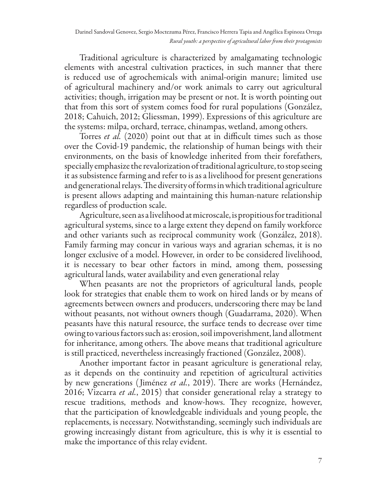Traditional agriculture is characterized by amalgamating technologic elements with ancestral cultivation practices, in such manner that there is reduced use of agrochemicals with animal-origin manure; limited use of agricultural machinery and/or work animals to carry out agricultural activities; though, irrigation may be present or not. It is worth pointing out that from this sort of system comes food for rural populations (González, 2018; Cahuich, 2012; Gliessman, 1999). Expressions of this agriculture are the systems: milpa, orchard, terrace, chinampas, wetland, among others.

Torres *et al.* (2020) point out that at in difficult times such as those over the Covid-19 pandemic, the relationship of human beings with their environments, on the basis of knowledge inherited from their forefathers, specially emphasize the revalorization of traditional agriculture, to stop seeing it as subsistence farming and refer to is as a livelihood for present generations and generational relays. The diversity of forms in which traditional agriculture is present allows adapting and maintaining this human-nature relationship regardless of production scale.

Agriculture, seen as a livelihood at microscale, is propitious for traditional agricultural systems, since to a large extent they depend on family workforce and other variants such as reciprocal community work (González, 2018). Family farming may concur in various ways and agrarian schemas, it is no longer exclusive of a model. However, in order to be considered livelihood, it is necessary to bear other factors in mind, among them, possessing agricultural lands, water availability and even generational relay

When peasants are not the proprietors of agricultural lands, people look for strategies that enable them to work on hired lands or by means of agreements between owners and producers, underscoring there may be land without peasants, not without owners though (Guadarrama, 2020). When peasants have this natural resource, the surface tends to decrease over time owing to various factors such as: erosion, soil impoverishment, land allotment for inheritance, among others. The above means that traditional agriculture is still practiced, nevertheless increasingly fractioned (González, 2008).

Another important factor in peasant agriculture is generational relay, as it depends on the continuity and repetition of agricultural activities by new generations ( Jiménez *et al.*, 2019). There are works (Hernández, 2016; Vizcarra *et al.*, 2015) that consider generational relay a strategy to rescue traditions, methods and know-hows. They recognize, however, that the participation of knowledgeable individuals and young people, the replacements, is necessary. Notwithstanding, seemingly such individuals are growing increasingly distant from agriculture, this is why it is essential to make the importance of this relay evident.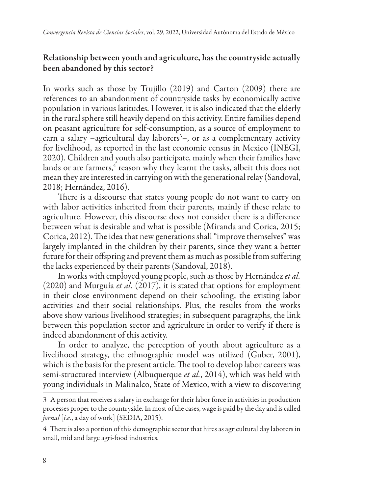## Relationship between youth and agriculture, has the countryside actually been abandoned by this sector?

In works such as those by Trujillo (2019) and Carton (2009) there are references to an abandonment of countryside tasks by economically active population in various latitudes. However, it is also indicated that the elderly in the rural sphere still heavily depend on this activity. Entire families depend on peasant agriculture for self-consumption, as a source of employment to earn a salary –agricultural day laborers<sup>3</sup>–, or as a complementary activity for livelihood, as reported in the last economic census in Mexico (INEGI, 2020). Children and youth also participate, mainly when their families have lands or are farmers, $\mathrm{^4}$  reason why they learnt the tasks, albeit this does not mean they are interested in carrying on with the generational relay (Sandoval, 2018; Hernández, 2016).

There is a discourse that states young people do not want to carry on with labor activities inherited from their parents, mainly if these relate to agriculture. However, this discourse does not consider there is a difference between what is desirable and what is possible (Miranda and Corica, 2015; Corica, 2012). The idea that new generations shall "improve themselves" was largely implanted in the children by their parents, since they want a better future for their offspring and prevent them as much as possible from suffering the lacks experienced by their parents (Sandoval, 2018).

In works with employed young people, such as those by Hernández *et al.* (2020) and Murguía *et al.* (2017), it is stated that options for employment in their close environment depend on their schooling, the existing labor activities and their social relationships. Plus, the results from the works above show various livelihood strategies; in subsequent paragraphs, the link between this population sector and agriculture in order to verify if there is indeed abandonment of this activity.

In order to analyze, the perception of youth about agriculture as a livelihood strategy, the ethnographic model was utilized (Guber, 2001), which is the basis for the present article. The tool to develop labor careers was semi-structured interview (Albuquerque *et al.*, 2014), which was held with young individuals in Malinalco, State of Mexico, with a view to discovering

<sup>3</sup> A person that receives a salary in exchange for their labor force in activities in production processes proper to the countryside. In most of the cases, wage is paid by the day and is called *jornal* [*i.e.*, a day of work] (SEDIA, 2015).

<sup>4</sup> There is also a portion of this demographic sector that hires as agricultural day laborers in small, mid and large agri-food industries.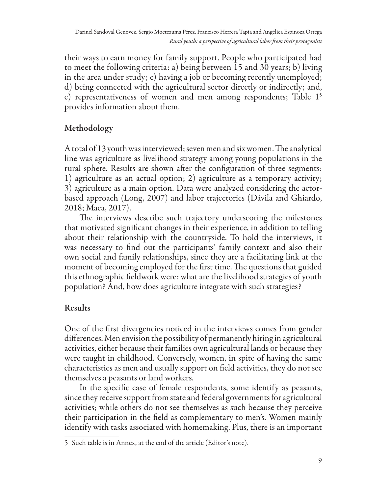their ways to earn money for family support. People who participated had to meet the following criteria: a) being between 15 and 30 years; b) living in the area under study; c) having a job or becoming recently unemployed; d) being connected with the agricultural sector directly or indirectly; and, e) representativeness of women and men among respondents; Table 15 provides information about them.

## Methodology

A total of 13 youth was interviewed; seven men and six women. The analytical line was agriculture as livelihood strategy among young populations in the rural sphere. Results are shown after the configuration of three segments: 1) agriculture as an actual option; 2) agriculture as a temporary activity; 3) agriculture as a main option. Data were analyzed considering the actorbased approach (Long, 2007) and labor trajectories (Dávila and Ghiardo, 2018; Maca, 2017).

The interviews describe such trajectory underscoring the milestones that motivated significant changes in their experience, in addition to telling about their relationship with the countryside. To hold the interviews, it was necessary to find out the participants' family context and also their own social and family relationships, since they are a facilitating link at the moment of becoming employed for the first time. The questions that guided this ethnographic fieldwork were: what are the livelihood strategies of youth population? And, how does agriculture integrate with such strategies?

# Results

One of the first divergencies noticed in the interviews comes from gender differences. Men envision the possibility of permanently hiring in agricultural activities, either because their families own agricultural lands or because they were taught in childhood. Conversely, women, in spite of having the same characteristics as men and usually support on field activities, they do not see themselves a peasants or land workers.

In the specific case of female respondents, some identify as peasants, since they receive support from state and federal governments for agricultural activities; while others do not see themselves as such because they perceive their participation in the field as complementary to men's. Women mainly identify with tasks associated with homemaking. Plus, there is an important

<sup>5</sup> Such table is in Annex, at the end of the article (Editor's note).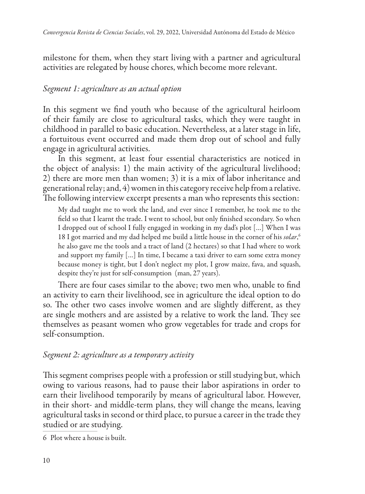milestone for them, when they start living with a partner and agricultural activities are relegated by house chores, which become more relevant.

## *Segment 1: agriculture as an actual option*

In this segment we find youth who because of the agricultural heirloom of their family are close to agricultural tasks, which they were taught in childhood in parallel to basic education. Nevertheless, at a later stage in life, a fortuitous event occurred and made them drop out of school and fully engage in agricultural activities.

In this segment, at least four essential characteristics are noticed in the object of analysis: 1) the main activity of the agricultural livelihood; 2) there are more men than women; 3) it is a mix of labor inheritance and generational relay; and, 4) women in this category receive help from a relative. The following interview excerpt presents a man who represents this section:

My dad taught me to work the land, and ever since I remember, he took me to the field so that I learnt the trade. I went to school, but only finished secondary. So when I dropped out of school I fully engaged in working in my dad's plot […] When I was 18 I got married and my dad helped me build a little house in the corner of his *solar*, 6 he also gave me the tools and a tract of land (2 hectares) so that I had where to work and support my family […] In time, I became a taxi driver to earn some extra money because money is tight, but I don't neglect my plot, I grow maize, fava, and squash, despite they're just for self-consumption (man, 27 years).

There are four cases similar to the above; two men who, unable to find an activity to earn their livelihood, see in agriculture the ideal option to do so. The other two cases involve women and are slightly different, as they are single mothers and are assisted by a relative to work the land. They see themselves as peasant women who grow vegetables for trade and crops for self-consumption.

## *Segment 2: agriculture as a temporary activity*

This segment comprises people with a profession or still studying but, which owing to various reasons, had to pause their labor aspirations in order to earn their livelihood temporarily by means of agricultural labor. However, in their short- and middle-term plans, they will change the means, leaving agricultural tasks in second or third place, to pursue a career in the trade they studied or are studying.

6 Plot where a house is built.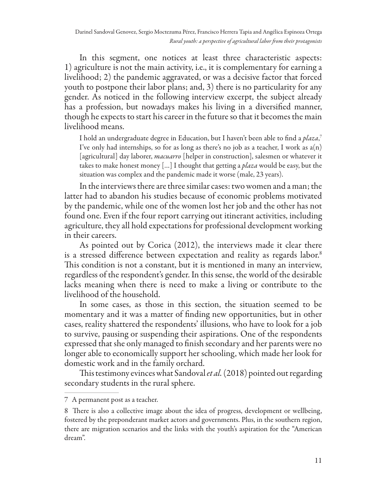In this segment, one notices at least three characteristic aspects: 1) agriculture is not the main activity, i.e., it is complementary for earning a livelihood; 2) the pandemic aggravated, or was a decisive factor that forced youth to postpone their labor plans; and, 3) there is no particularity for any gender. As noticed in the following interview excerpt, the subject already has a profession, but nowadays makes his living in a diversified manner, though he expects to start his career in the future so that it becomes the main livelihood means.

I hold an undergraduate degree in Education, but I haven't been able to find a *plaza*, 7 I've only had internships, so for as long as there's no job as a teacher, I work as  $a(n)$ [agricultural] day laborer, *macuarro* [helper in construction], salesmen or whatever it takes to make honest money […] I thought that getting a *plaza* would be easy, but the situation was complex and the pandemic made it worse (male, 23 years).

In the interviews there are three similar cases: two women and a man; the latter had to abandon his studies because of economic problems motivated by the pandemic, while one of the women lost her job and the other has not found one. Even if the four report carrying out itinerant activities, including agriculture, they all hold expectations for professional development working in their careers.

As pointed out by Corica (2012), the interviews made it clear there is a stressed difference between expectation and reality as regards labor.<sup>8</sup> This condition is not a constant, but it is mentioned in many an interview, regardless of the respondent's gender. In this sense, the world of the desirable lacks meaning when there is need to make a living or contribute to the livelihood of the household.

In some cases, as those in this section, the situation seemed to be momentary and it was a matter of finding new opportunities, but in other cases, reality shattered the respondents' illusions, who have to look for a job to survive, pausing or suspending their aspirations. One of the respondents expressed that she only managed to finish secondary and her parents were no longer able to economically support her schooling, which made her look for domestic work and in the family orchard.

This testimony evinces what Sandoval *et al.* (2018) pointed out regarding secondary students in the rural sphere.

<sup>7</sup> A permanent post as a teacher.

<sup>8</sup> There is also a collective image about the idea of progress, development or wellbeing, fostered by the preponderant market actors and governments. Plus, in the southern region, there are migration scenarios and the links with the youth's aspiration for the "American dream".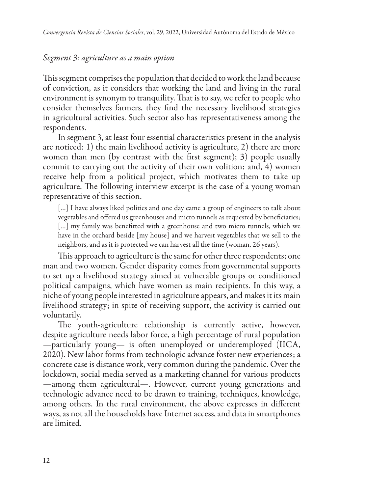### *Segment 3: agriculture as a main option*

This segment comprises the population that decided to work the land because of conviction, as it considers that working the land and living in the rural environment is synonym to tranquility. That is to say, we refer to people who consider themselves farmers, they find the necessary livelihood strategies in agricultural activities. Such sector also has representativeness among the respondents.

In segment 3, at least four essential characteristics present in the analysis are noticed: 1) the main livelihood activity is agriculture, 2) there are more women than men (by contrast with the first segment); 3) people usually commit to carrying out the activity of their own volition; and, 4) women receive help from a political project, which motivates them to take up agriculture. The following interview excerpt is the case of a young woman representative of this section.

[...] I have always liked politics and one day came a group of engineers to talk about vegetables and offered us greenhouses and micro tunnels as requested by beneficiaries; [...] my family was benefitted with a greenhouse and two micro tunnels, which we have in the orchard beside [my house] and we harvest vegetables that we sell to the neighbors, and as it is protected we can harvest all the time (woman, 26 years).

This approach to agriculture is the same for other three respondents; one man and two women. Gender disparity comes from governmental supports to set up a livelihood strategy aimed at vulnerable groups or conditioned political campaigns, which have women as main recipients. In this way, a niche of young people interested in agriculture appears, and makes it its main livelihood strategy; in spite of receiving support, the activity is carried out voluntarily.

The youth-agriculture relationship is currently active, however, despite agriculture needs labor force, a high percentage of rural population —particularly young— is often unemployed or underemployed (IICA, 2020). New labor forms from technologic advance foster new experiences; a concrete case is distance work, very common during the pandemic. Over the lockdown, social media served as a marketing channel for various products —among them agricultural—. However, current young generations and technologic advance need to be drawn to training, techniques, knowledge, among others. In the rural environment, the above expresses in different ways, as not all the households have Internet access, and data in smartphones are limited.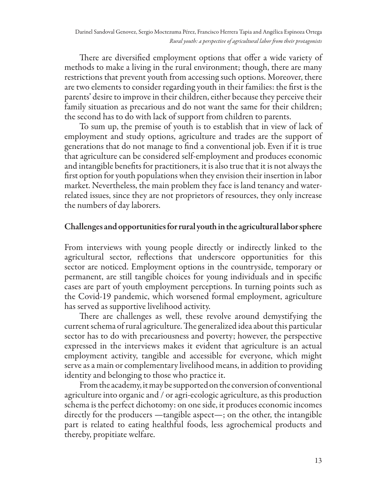There are diversified employment options that offer a wide variety of methods to make a living in the rural environment; though, there are many restrictions that prevent youth from accessing such options. Moreover, there are two elements to consider regarding youth in their families: the first is the parents' desire to improve in their children, either because they perceive their family situation as precarious and do not want the same for their children; the second has to do with lack of support from children to parents.

To sum up, the premise of youth is to establish that in view of lack of employment and study options, agriculture and trades are the support of generations that do not manage to find a conventional job. Even if it is true that agriculture can be considered self-employment and produces economic and intangible benefits for practitioners, it is also true that it is not always the first option for youth populations when they envision their insertion in labor market. Nevertheless, the main problem they face is land tenancy and waterrelated issues, since they are not proprietors of resources, they only increase the numbers of day laborers.

## Challenges and opportunities for rural youth in the agricultural labor sphere

From interviews with young people directly or indirectly linked to the agricultural sector, reflections that underscore opportunities for this sector are noticed. Employment options in the countryside, temporary or permanent, are still tangible choices for young individuals and in specific cases are part of youth employment perceptions. In turning points such as the Covid-19 pandemic, which worsened formal employment, agriculture has served as supportive livelihood activity.

There are challenges as well, these revolve around demystifying the current schema of rural agriculture. The generalized idea about this particular sector has to do with precariousness and poverty; however, the perspective expressed in the interviews makes it evident that agriculture is an actual employment activity, tangible and accessible for everyone, which might serve as a main or complementary livelihood means, in addition to providing identity and belonging to those who practice it.

From the academy, it may be supported on the conversion of conventional agriculture into organic and / or agri-ecologic agriculture, as this production schema is the perfect dichotomy: on one side, it produces economic incomes directly for the producers —tangible aspect—; on the other, the intangible part is related to eating healthful foods, less agrochemical products and thereby, propitiate welfare.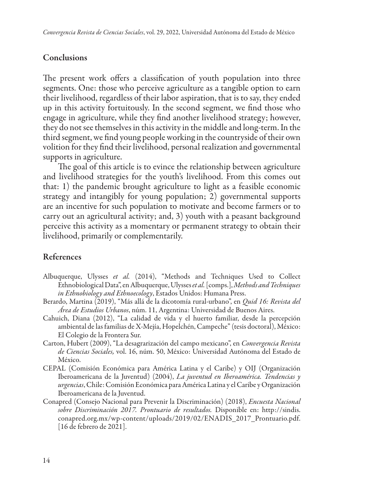#### Conclusions

The present work offers a classification of youth population into three segments. One: those who perceive agriculture as a tangible option to earn their livelihood, regardless of their labor aspiration, that is to say, they ended up in this activity fortuitously. In the second segment, we find those who engage in agriculture, while they find another livelihood strategy; however, they do not see themselves in this activity in the middle and long-term. In the third segment, we find young people working in the countryside of their own volition for they find their livelihood, personal realization and governmental supports in agriculture.

The goal of this article is to evince the relationship between agriculture and livelihood strategies for the youth's livelihood. From this comes out that: 1) the pandemic brought agriculture to light as a feasible economic strategy and intangibly for young population; 2) governmental supports are an incentive for such population to motivate and become farmers or to carry out an agricultural activity; and, 3) youth with a peasant background perceive this activity as a momentary or permanent strategy to obtain their livelihood, primarily or complementarily.

### References

- Albuquerque, Ulysses *et al.* (2014), "Methods and Techniques Used to Collect Ethnobiological Data", en Albuquerque, Ulysses *et al.* [comps.], *Methods and Techniques in Ethnobiology and Ethnoecology*, Estados Unidos: Humana Press.
- Berardo, Martina (2019), "Más allá de la dicotomía rural-urbano", en *Quid 16: Revista del Área de Estudios Urbanos*, núm. 11, Argentina: Universidad de Buenos Aires.
- Cahuich, Diana (2012), "La calidad de vida y el huerto familiar, desde la percepción ambiental de las familias de X-Mejía, Hopelchén, Campeche" (tesis doctoral), México: El Colegio de la Frontera Sur.
- Carton, Hubert (2009), "La desagrarización del campo mexicano", en *Convergencia Revista de Ciencias Sociales,* vol. 16, núm. 50, México: Universidad Autónoma del Estado de México.
- CEPAL (Comisión Económica para América Latina y el Caribe) y OIJ (Organización Iberoamericana de la Juventud) (2004), *La juventud en Iberoamérica. Tendencias y urgencias*, Chile: Comisión Económica para América Latina y el Caribe y Organización Iberoamericana de la Juventud.
- Conapred (Consejo Nacional para Prevenir la Discriminación) (2018), *Encuesta Nacional sobre Discriminación 2017. Prontuario de resultados.* Disponible en: http://sindis. conapred.org.mx/wp-content/uploads/2019/02/ENADIS\_2017\_Prontuario.pdf. [16 de febrero de 2021].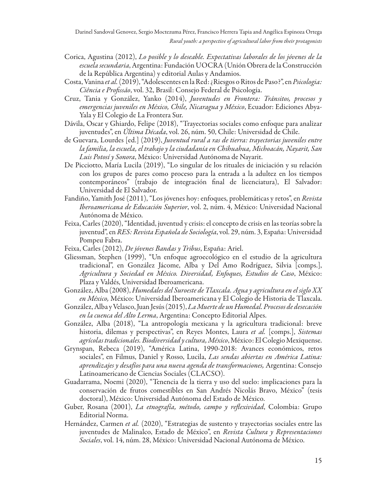- Corica, Agustina (2012), *Lo posible y lo deseable. Expectativas laborales de los jóvenes de la escuela secundaria*, Argentina: Fundación UOCRA (Unión Obrera de la Construcción de la República Argentina) y editorial Aulas y Andamios.
- Costa, Vanina *et al.* (2019), "Adolescentes en la Red: ¿Riesgos o Ritos de Paso?", en *Psicologia: Ciência e Profissão*, vol. 32, Brasil: Consejo Federal de Psicología.
- Cruz, Tania y González, Yanko (2014), *Juventudes en Frontera: Tránsitos, procesos y emergencias juveniles en México, Chile, Nicaragua y México*, Ecuador: Ediciones Abya-Yala y El Colegio de La Frontera Sur.
- Dávila, Oscar y Ghiardo, Felipe (2018), "Trayectorias sociales como enfoque para analizar juventudes", en *Última Década*, vol. 26, núm. 50, Chile: Universidad de Chile.
- de Guevara, Lourdes [ed.] (2019), *Juventud rural a ras de tierra: trayectorias juveniles entre la familia, la escuela, el trabajo y la ciudadanía en Chihuahua, Michoacán, Nayarit, San Luis Potosí y Sonora*, México: Universidad Autónoma de Nayarit.
- De Picciotto, María Lucila (2019), "Lo singular de los rituales de iniciación y su relación con los grupos de pares como proceso para la entrada a la adultez en los tiempos contemporáneos" (trabajo de integración final de licenciatura), El Salvador: Universidad de El Salvador.
- Fandiño, Yamith José (2011), "Los jóvenes hoy: enfoques, problemáticas y retos", en *Revista Iberoamericana de Educación Superior*, vol. 2, núm. 4, México: Universidad Nacional Autónoma de México.
- Feixa, Carles (2020), "Identidad, juventud y crisis: el concepto de crisis en las teorías sobre la juventud", en *RES: Revista Española de Sociología*, vol. 29, núm. 3, España: Universidad Pompeu Fabra.
- Feixa, Carles (2012), *De jóvenes Bandas y Tribus*, España: Ariel.
- Gliessman, Stephen (1999), "Un enfoque agroecológico en el estudio de la agricultura tradicional", en González Jácome, Alba y Del Amo Rodríguez, Silvia [comps.], *Agricultura y Sociedad en México. Diversidad, Enfoques, Estudios de Caso*, México: Plaza y Valdés, Universidad Iberoamericana.
- González, Alba (2008), *Humedales del Suroeste de Tlaxcala. Agua y agricultura en el siglo XX en México,* México: Universidad Iberoamericana y El Colegio de Historia de Tlaxcala.
- González, Alba y Velasco, Juan Jesús (2015), *La Muerte de un Humedal. Procesos de desecación en la cuenca del Alto Lerma*, Argentina: Concepto Editorial Alpes.
- González, Alba (2018), "La antropología mexicana y la agricultura tradicional: breve historia, dilemas y perspectivas", en Reyes Montes, Laura *et al.* [comps.], *Sistemas agrícolas tradicionales. Biodiversidad y cultura, México*, México: El Colegio Mexiquense.
- Grynspan, Rebeca (2019), "América Latina, 1990-2018: Avances económicos, retos sociales", en Filmus, Daniel y Rosso, Lucila, *Las sendas abiertas en América Latina: aprendizajes y desafíos para una nueva agenda de transformaciones,* Argentina: Consejo Latinoamericano de Ciencias Sociales (CLACSO).
- Guadarrama, Noemi (2020), "Tenencia de la tierra y uso del suelo: implicaciones para la conservación de frutos comestibles en San Andrés Nicolás Bravo, México" (tesis doctoral), México: Universidad Autónoma del Estado de México.
- Guber, Rosana (2001), *La etnografía, método, campo y reflexividad*, Colombia: Grupo Editorial Norma.
- Hernández, Carmen *et al.* (2020), "Estrategias de sustento y trayectorias sociales entre las juventudes de Malinalco, Estado de México", en *Revista Cultura y Representaciones Sociales*, vol. 14, núm. 28, México: Universidad Nacional Autónoma de México.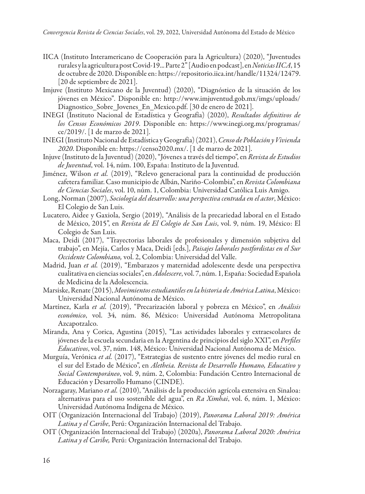- IICA (Instituto Interamericano de Cooperación para la Agricultura) (2020), "Juventudes rurales y la agricultura post Covid-19... Parte 2" [Audio en podcast], en *Noticias IICA*, 15 de octubre de 2020. Disponible en: https://repositorio.iica.int/handle/11324/12479. [20 de septiembre de 2021].
- Imjuve (Instituto Mexicano de la Juventud) (2020), "Diagnóstico de la situación de los jóvenes en México"*.* Disponible en: http://www.imjuventud.gob.mx/imgs/uploads/ Diagnostico\_Sobre\_Jovenes\_En\_Mexico.pdf. [30 de enero de 2021].
- INEGI (Instituto Nacional de Estadística y Geografía) (2020), *Resultados definitivos de los Censos Económicos 2019*. Disponible en: https://www.inegi.org.mx/programas/ ce/2019/. [1 de marzo de 2021].
- INEGI (Instituto Nacional de Estadística y Geografía) (2021), *Censo de Población y Vivienda 2020*. Disponible en: https://censo2020.mx/. [1 de marzo de 2021].
- Injuve (Instituto de la Juventud) (2020), "Jóvenes a través del tiempo", en *Revista de Estudios de Juventud*, vol. 14, núm. 100, España: Instituto de la Juventud.
- Jiménez, Wilson *et al.* (2019), "Relevo generacional para la continuidad de producción cafetera familiar. Caso municipio de Albán, Nariño-Colombia", en *Revista Colombiana de Ciencias Sociales*, vol. 10, núm. 1, Colombia: Universidad Católica Luis Amigo.
- Long, Norman (2007), *Sociología del desarrollo: una perspectiva centrada en el actor*, México: El Colegio de San Luis.
- Lucatero, Aidee y Gaxiola, Sergio (2019), "Análisis de la precariedad laboral en el Estado de México, 2015", en *Revista de El Colegio de San Luis*, vol. 9, núm. 19, México: El Colegio de San Luis.
- Maca, Deidi (2017), "Trayectorias laborales de profesionales y dimensión subjetiva del trabajo", en Mejía, Carlos y Maca, Deidi [eds.], *Paisajes laborales postfordistas en el Sur Occidente Colombiano,* vol. 2, Colombia: Universidad del Valle.
- Madrid, Juan *et al.* (2019), "Embarazos y maternidad adolescente desde una perspectiva cualitativa en ciencias sociales", en *Adolescere*, vol. 7, núm. 1, España: Sociedad Española de Medicina de la Adolescencia.
- Marsiske, Renate (2015), *Movimientos estudiantiles en la historia de América Latina*, México: Universidad Nacional Autónoma de México.
- Martínez, Karla *et al.* (2019), "Precarización laboral y pobreza en México", en *Análisis económico*, vol. 34, núm. 86, México: Universidad Autónoma Metropolitana Azcapotzalco.
- Miranda, Ana y Corica, Agustina (2015), "Las actividades laborales y extraescolares de jóvenes de la escuela secundaria en la Argentina de principios del siglo XXI", en *Perfiles Educativos*, vol. 37, núm. 148, México: Universidad Nacional Autónoma de México.
- Murguía, Verónica *et al.* (2017), "Estrategias de sustento entre jóvenes del medio rural en el sur del Estado de México", en *Aletheia. Revista de Desarrollo Humano, Educativo y Social Contemporáneo*, vol. 9, núm. 2, Colombia: Fundación Centro Internacional de Educación y Desarrollo Humano (CINDE).
- Norzagaray, Mariano *et al.* (2010), "Análisis de la producción agrícola extensiva en Sinaloa: alternativas para el uso sostenible del agua", en *Ra Ximhai*, vol. 6, núm. 1, México: Universidad Autónoma Indígena de México.
- OIT (Organización Internacional del Trabajo) (2019), *Panorama Laboral 2019: América Latina y el Caribe*, Perú: Organización Internacional del Trabajo.
- OIT (Organización Internacional del Trabajo) (2020a), *Panorama Laboral 2020: América Latina y el Caribe,* Perú: Organización Internacional del Trabajo.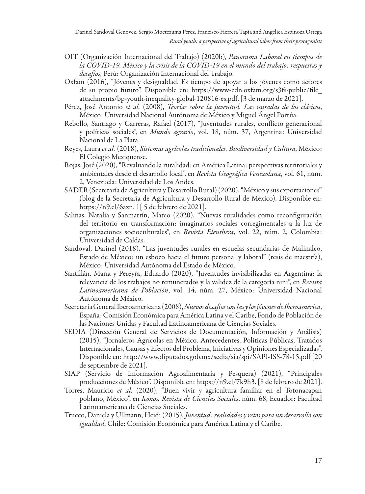- OIT (Organización Internacional del Trabajo) (2020b), *Panorama Laboral en tiempos de la COVID-19. México y la crisis de la COVID-19 en el mundo del trabajo: respuestas y desafíos,* Perú: Organización Internacional del Trabajo.
- Oxfam (2016), "Jóvenes y desigualdad. Es tiempo de apoyar a los jóvenes como actores de su propio futuro". Disponible en: https://www-cdn.oxfam.org/s3fs-public/file\_ attachments/bp-youth-inequality-global-120816-es.pdf. [3 de marzo de 2021].
- Pérez, José Antonio *et al.* (2008), *Teorías sobre la juventud. Las miradas de los clásicos*, México: Universidad Nacional Autónoma de México y Miguel Ángel Porrúa.
- Rebollo, Santiago y Carreras, Rafael (2017), "Juventudes rurales, conflicto generacional y políticas sociales", en *Mundo agrario*, vol. 18, núm. 37, Argentina: Universidad Nacional de La Plata.
- Reyes, Laura *et al.* (2018), *Sistemas agrícolas tradicionales. Biodiversidad y Cultura*, México: El Colegio Mexiquense.
- Rojas, José (2020), "Revaluando la ruralidad: en América Latina: perspectivas territoriales y ambientales desde el desarrollo local", en *Revista Geográfica Venezolana*, vol. 61, núm. 2, Venezuela: Universidad de Los Andes.
- SADER (Secretaría de Agricultura y Desarrollo Rural) (2020), "México y sus exportaciones" (blog de la Secretaría de Agricultura y Desarrollo Rural de México). Disponible en: https://n9.cl/6azn. 1[ 5 de febrero de 2021].
- Salinas, Natalia y Sanmartín, Mateo (2020), "Nuevas ruralidades como reconfiguración del territorio en transformación: imaginarios sociales corregimentales a la luz de organizaciones socioculturales", en *Revista Eleuthera,* vol. 22, núm. 2, Colombia: Universidad de Caldas.
- Sandoval, Darinel (2018), "Las juventudes rurales en escuelas secundarias de Malinalco, Estado de México: un esbozo hacia el futuro personal y laboral" (tesis de maestría), México: Universidad Autónoma del Estado de México.
- Santillán, María y Pereyra, Eduardo (2020), "Juventudes invisibilizadas en Argentina: la relevancia de los trabajos no remunerados y la validez de la categoría nini", en *Revista Latinoamericana de Población*, vol. 14, núm. 27, México: Universidad Nacional Autónoma de México.
- Secretaría General Iberoamericana (2008), *Nuevos desafíos con las y los jóvenes de Iberoamérica*, España: Comisión Económica para América Latina y el Caribe, Fondo de Población de las Naciones Unidas y Facultad Latinoamericana de Ciencias Sociales.
- SEDIA (Dirección General de Servicios de Documentación, Información y Análisis) (2015), "Jornaleros Agrícolas en México. Antecedentes, Políticas Públicas, Tratados Internacionales, Causas y Efectos del Problema, Iniciativas y Opiniones Especializadas". Disponible en: http://www.diputados.gob.mx/sedia/sia/spi/SAPI-ISS-78-15.pdf [20 de septiembre de 2021].
- SIAP (Servicio de Información Agroalimentaria y Pesquera) (2021), "Principales producciones de México". Disponible en: https://n9.cl/7k9h3. [8 de febrero de 2021].
- Torres, Mauricio *et al.* (2020), "Buen vivir y agricultura familiar en el Totonacapan poblano, México", en *Iconos. Revista de Ciencias Sociales*, núm. 68, Ecuador: Facultad Latinoamericana de Ciencias Sociales.
- Trucco, Daniela y Ullmann, Heidi (2015), *Juventud: realidades y retos para un desarrollo con igualdad*, Chile: Comisión Económica para América Latina y el Caribe.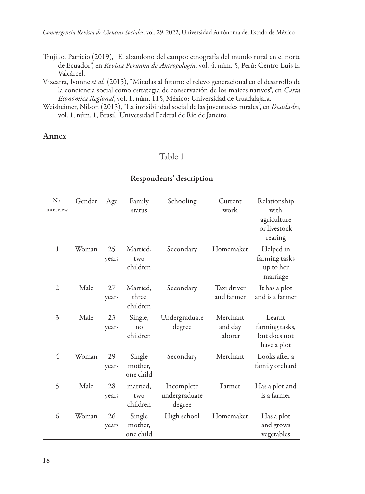*Convergencia Revista de Ciencias Sociales*, vol. 29, 2022, Universidad Autónoma del Estado de México

- Trujillo, Patricio (2019), "El abandono del campo: etnografía del mundo rural en el norte de Ecuador", en *Revista Peruana de Antropología*, vol. 4, núm. 5, Perú: Centro Luis E. Valcárcel.
- Vizcarra, Ivonne *et al.* (2015), "Miradas al futuro: el relevo generacional en el desarrollo de la conciencia social como estrategia de conservación de los maíces nativos", en *Carta Económica Regional*, vol. 1, núm. 115, México: Universidad de Guadalajara.
- Weisheimer, Nilson (2013), "La invisibilidad social de las juventudes rurales", en *Desidades*, vol. 1, núm. 1, Brasil: Universidad Federal de Río de Janeiro.

#### Annex

### Table 1

| No.<br>interview | Gender | Age         | Family<br>status               | Schooling                             | Current<br>work                | Relationship<br>with<br>agriculture<br>or livestock<br>rearing |
|------------------|--------|-------------|--------------------------------|---------------------------------------|--------------------------------|----------------------------------------------------------------|
| 1                | Woman  | 25<br>years | Married,<br>two<br>children    | Secondary                             | Homemaker                      | Helped in<br>farming tasks<br>up to her<br>marriage            |
| $\overline{2}$   | Male   | 27<br>years | Married.<br>three<br>children  | Secondary                             | Taxi driver<br>and farmer      | It has a plot<br>and is a farmer                               |
| 3                | Male   | 23<br>years | Single,<br>no<br>children      | Undergraduate<br>degree               | Merchant<br>and day<br>laborer | Learnt<br>farming tasks,<br>but does not<br>have a plot        |
| 4                | Woman  | 29<br>years | Single<br>mother,<br>one child | Secondary                             | Merchant                       | Looks after a<br>family orchard                                |
| 5                | Male   | 28<br>years | married.<br>two<br>children    | Incomplete<br>undergraduate<br>degree | Farmer                         | Has a plot and<br>is a farmer                                  |
| 6                | Woman  | 26<br>years | Single<br>mother,<br>one child | High school                           | Homemaker                      | Has a plot<br>and grows<br>vegetables                          |

#### Respondents' description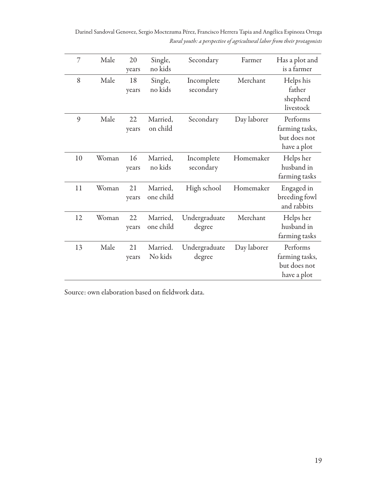Darinel Sandoval Genovez, Sergio Moctezuma Pérez, Francisco Herrera Tapia and Angélica Espinoza Ortega *Rural youth: a perspective of agricultural labor from their protagonists*

| 7  | Male  | 20<br>years | Single,<br>no kids    | Secondary               | Farmer      | Has a plot and<br>is a farmer                             |
|----|-------|-------------|-----------------------|-------------------------|-------------|-----------------------------------------------------------|
| 8  | Male  | 18<br>years | Single,<br>no kids    | Incomplete<br>secondary | Merchant    | Helps his<br>father<br>shepherd<br>livestock              |
| 9  | Male  | 22<br>years | Married,<br>on child  | Secondary               | Day laborer | Performs<br>farming tasks,<br>but does not<br>have a plot |
| 10 | Woman | 16<br>years | Married.<br>no kids   | Incomplete<br>secondary | Homemaker   | Helps her<br>husband in<br>farming tasks                  |
| 11 | Woman | 21<br>years | Married,<br>one child | High school             | Homemaker   | Engaged in<br>breeding fowl<br>and rabbits                |
| 12 | Woman | 22<br>years | Married,<br>one child | Undergraduate<br>degree | Merchant    | Helps her<br>husband in<br>farming tasks                  |
| 13 | Male  | 21<br>years | Married.<br>No kids   | Undergraduate<br>degree | Day laborer | Performs<br>farming tasks,<br>but does not<br>have a plot |

Source: own elaboration based on fieldwork data.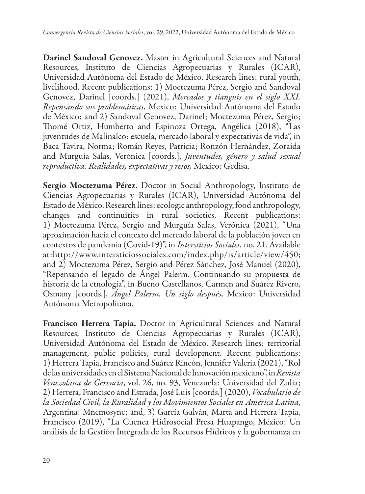Darinel Sandoval Genovez. Master in Agricultural Sciences and Natural Resources, Instituto de Ciencias Agropecuarias y Rurales (ICAR), Universidad Autónoma del Estado de México. Research lines: rural youth, livelihood. Recent publications: 1) Moctezuma Pérez, Sergio and Sandoval Genovez, Darinel [coords.] (2021), *Mercados y tianguis en el siglo XXI. Repensando sus problemáticas*, Mexico: Universidad Autónoma del Estado de México; and 2) Sandoval Genovez, Darinel; Moctezuma Pérez, Sergio; Thomé Ortiz, Humberto and Espinoza Ortega, Angélica (2018), "Las juventudes de Malinalco: escuela, mercado laboral y expectativas de vida", in Baca Tavira, Norma; Román Reyes, Patricia; Ronzón Hernández, Zoraida and Murguía Salas, Verónica [coords.], *Juventudes, género y salud sexual reproductiva. Realidades, expectativas y retos,* Mexico: Gedisa.

Sergio Moctezuma Pérez. Doctor in Social Anthropology, Instituto de Ciencias Agropecuarias y Rurales (ICAR), Universidad Autónoma del Estado de México. Research lines: ecologic anthropology, food anthropology, changes and continuities in rural societies. Recent publications: 1) Moctezuma Pérez, Sergio and Murguía Salas, Verónica (2021), "Una aproximación hacia el contexto del mercado laboral de la población joven en contextos de pandemia (Covid-19)", in *Intersticios Sociales*, no. 21. Available at:http://www.intersticiossociales.com/index.php/is/article/view/450; and 2) Moctezuma Pérez, Sergio and Pérez Sánchez, José Manuel (2020), "Repensando el legado de Ángel Palerm. Continuando su propuesta de historia de la etnología", in Bueno Castellanos, Carmen and Suárez Rivero, Osmany [coords.], *Ángel Palerm. Un siglo después,* Mexico: Universidad Autónoma Metropolitana.

Francisco Herrera Tapia. Doctor in Agricultural Sciences and Natural Resources, Instituto de Ciencias Agropecuarias y Rurales (ICAR), Universidad Autónoma del Estado de México. Research lines: territorial management, public policies, rural development. Recent publications: 1) Herrera Tapia, Francisco and Suárez Rincón, Jennifer Valeria (2021), "Rol de las universidades en el Sistema Nacional de Innovación mexicano", in *Revista Venezolana de Gerencia*, vol. 26, no. 93, Venezuela: Universidad del Zulia; 2) Herrera, Francisco and Estrada, José Luis [coords.] (2020), *Vocabulario de la Sociedad Civil, la Ruralidad y los Movimientos Sociales en América Latina*, Argentina: Mnemosyne; and, 3) García Galván, Marta and Herrera Tapia, Francisco (2019), "La Cuenca Hidrosocial Presa Huapango, México: Un análisis de la Gestión Integrada de los Recursos Hídricos y la gobernanza en